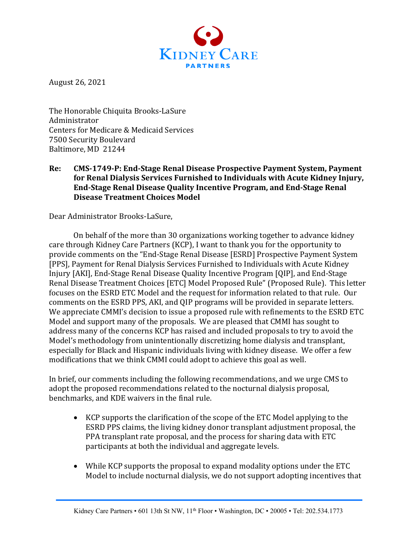

August 26, 2021

The Honorable Chiquita Brooks-LaSure Administrator Centers for Medicare & Medicaid Services 7500 Security Boulevard Baltimore, MD 21244

### Re: CMS-1749-P: End-Stage Renal Disease Prospective Payment System, Payment for Renal Dialysis Services Furnished to Individuals with Acute Kidney Injury, **End-Stage Renal Disease Quality Incentive Program, and End-Stage Renal Disease Treatment Choices Model**

Dear Administrator Brooks-LaSure,

On behalf of the more than 30 organizations working together to advance kidney care through Kidney Care Partners (KCP), I want to thank you for the opportunity to provide comments on the "End-Stage Renal Disease [ESRD] Prospective Payment System [PPS], Payment for Renal Dialysis Services Furnished to Individuals with Acute Kidney Injury [AKI], End-Stage Renal Disease Quality Incentive Program [QIP], and End-Stage Renal Disease Treatment Choices [ETC] Model Proposed Rule" (Proposed Rule). This letter focuses on the ESRD ETC Model and the request for information related to that rule. Our comments on the ESRD PPS, AKI, and QIP programs will be provided in separate letters. We appreciate CMMI's decision to issue a proposed rule with refinements to the ESRD ETC Model and support many of the proposals. We are pleased that CMMI has sought to address many of the concerns KCP has raised and included proposals to try to avoid the Model's methodology from unintentionally discretizing home dialysis and transplant, especially for Black and Hispanic individuals living with kidney disease. We offer a few modifications that we think CMMI could adopt to achieve this goal as well.

In brief, our comments including the following recommendations, and we urge CMS to adopt the proposed recommendations related to the nocturnal dialysis proposal, benchmarks, and KDE waivers in the final rule.

- KCP supports the clarification of the scope of the ETC Model applying to the ESRD PPS claims, the living kidney donor transplant adjustment proposal, the PPA transplant rate proposal, and the process for sharing data with ETC participants at both the individual and aggregate levels.
- While KCP supports the proposal to expand modality options under the ETC Model to include nocturnal dialysis, we do not support adopting incentives that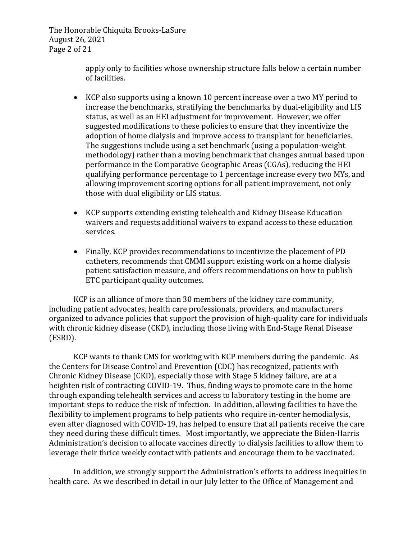The Honorable Chiquita Brooks-LaSure August 26, 2021 Page 2 of 21

> apply only to facilities whose ownership structure falls below a certain number of facilities.

- KCP also supports using a known 10 percent increase over a two MY period to increase the benchmarks, stratifying the benchmarks by dual-eligibility and LIS status, as well as an HEI adjustment for improvement. However, we offer suggested modifications to these policies to ensure that they incentivize the adoption of home dialysis and improve access to transplant for beneficiaries. The suggestions include using a set benchmark (using a population-weight methodology) rather than a moving benchmark that changes annual based upon performance in the Comparative Geographic Areas (CGAs), reducing the HEI qualifying performance percentage to 1 percentage increase every two MYs, and allowing improvement scoring options for all patient improvement, not only those with dual eligibility or LIS status.
- KCP supports extending existing telehealth and Kidney Disease Education waivers and requests additional waivers to expand access to these education services.
- Finally, KCP provides recommendations to incentivize the placement of PD catheters, recommends that CMMI support existing work on a home dialysis patient satisfaction measure, and offers recommendations on how to publish ETC participant quality outcomes.

KCP is an alliance of more than 30 members of the kidney care community, including patient advocates, health care professionals, providers, and manufacturers organized to advance policies that support the provision of high-quality care for individuals with chronic kidney disease (CKD), including those living with End-Stage Renal Disease (ESRD).

KCP wants to thank CMS for working with KCP members during the pandemic. As the Centers for Disease Control and Prevention (CDC) has recognized, patients with Chronic Kidney Disease (CKD), especially those with Stage 5 kidney failure, are at a heighten risk of contracting COVID-19. Thus, finding ways to promote care in the home through expanding telehealth services and access to laboratory testing in the home are important steps to reduce the risk of infection. In addition, allowing facilities to have the flexibility to implement programs to help patients who require in-center hemodialysis, even after diagnosed with COVID-19, has helped to ensure that all patients receive the care they need during these difficult times. Most importantly, we appreciate the Biden-Harris Administration's decision to allocate vaccines directly to dialysis facilities to allow them to leverage their thrice weekly contact with patients and encourage them to be vaccinated.

In addition, we strongly support the Administration's efforts to address inequities in health care. As we described in detail in our July letter to the Office of Management and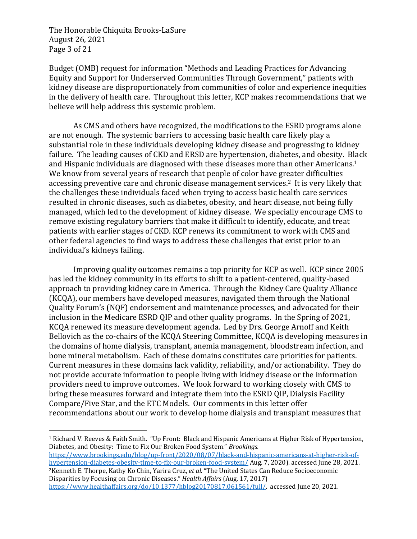The Honorable Chiquita Brooks-LaSure August 26, 2021 Page 3 of 21

Budget (OMB) request for information "Methods and Leading Practices for Advancing Equity and Support for Underserved Communities Through Government," patients with kidney disease are disproportionately from communities of color and experience inequities in the delivery of health care. Throughout this letter, KCP makes recommendations that we believe will help address this systemic problem.

As CMS and others have recognized, the modifications to the ESRD programs alone are not enough. The systemic barriers to accessing basic health care likely play a substantial role in these individuals developing kidney disease and progressing to kidney failure. The leading causes of CKD and ERSD are hypertension, diabetes, and obesity. Black and Hispanic individuals are diagnosed with these diseases more than other Americans.<sup>1</sup> We know from several years of research that people of color have greater difficulties accessing preventive care and chronic disease management services.<sup>2</sup> It is very likely that the challenges these individuals faced when trying to access basic health care services resulted in chronic diseases, such as diabetes, obesity, and heart disease, not being fully managed, which led to the development of kidney disease. We specially encourage CMS to remove existing regulatory barriers that make it difficult to identify, educate, and treat patients with earlier stages of CKD. KCP renews its commitment to work with CMS and other federal agencies to find ways to address these challenges that exist prior to an individual's kidneys failing.

Improving quality outcomes remains a top priority for KCP as well. KCP since 2005 has led the kidney community in its efforts to shift to a patient-centered, quality-based approach to providing kidney care in America. Through the Kidney Care Quality Alliance (KCQA), our members have developed measures, navigated them through the National Quality Forum's (NQF) endorsement and maintenance processes, and advocated for their inclusion in the Medicare ESRD QIP and other quality programs. In the Spring of 2021, KCQA renewed its measure development agenda. Led by Drs. George Arnoff and Keith Bellovich as the co-chairs of the KCQA Steering Committee, KCQA is developing measures in the domains of home dialysis, transplant, anemia management, bloodstream infection, and bone mineral metabolism. Each of these domains constitutes care priorities for patients. Current measures in these domains lack validity, reliability, and/or actionability. They do not provide accurate information to people living with kidney disease or the information providers need to improve outcomes. We look forward to working closely with CMS to bring these measures forward and integrate them into the ESRD QIP, Dialysis Facility Compare/Five Star, and the ETC Models. Our comments in this letter offer recommendations about our work to develop home dialysis and transplant measures that

https://www.brookings.edu/blog/up-front/2020/08/07/black-and-hispanic-americans-at-higher-risk-ofhypertension-diabetes-obesity-time-to-fix-our-broken-food-system/ Aug. 7, 2020). accessed June 28, 2021. <sup>2</sup>Kenneth E. Thorpe, Kathy Ko Chin, Yarira Cruz, *et al.* "The United States Can Reduce Socioeconomic Disparities by Focusing on Chronic Diseases." *Health Affairs* (Aug. 17, 2017)

<sup>&</sup>lt;sup>1</sup> Richard V. Reeves & Faith Smith. "Up Front: Black and Hispanic Americans at Higher Risk of Hypertension, Diabetes, and Obesity: Time to Fix Our Broken Food System." *Brookings.* 

https://www.healthaffairs.org/do/10.1377/hblog20170817.061561/full/. accessed June 20, 2021.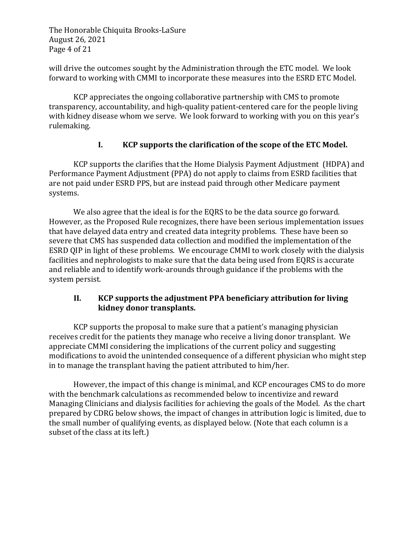The Honorable Chiquita Brooks-LaSure August 26, 2021 Page 4 of 21

will drive the outcomes sought by the Administration through the ETC model. We look forward to working with CMMI to incorporate these measures into the ESRD ETC Model.

KCP appreciates the ongoing collaborative partnership with CMS to promote transparency, accountability, and high-quality patient-centered care for the people living with kidney disease whom we serve. We look forward to working with you on this year's rulemaking.

# I. **KCP** supports the clarification of the scope of the ETC Model.

KCP supports the clarifies that the Home Dialysis Payment Adjustment (HDPA) and Performance Payment Adjustment (PPA) do not apply to claims from ESRD facilities that are not paid under ESRD PPS, but are instead paid through other Medicare payment systems. 

We also agree that the ideal is for the EQRS to be the data source go forward. However, as the Proposed Rule recognizes, there have been serious implementation issues that have delayed data entry and created data integrity problems. These have been so severe that CMS has suspended data collection and modified the implementation of the ESRD QIP in light of these problems. We encourage CMMI to work closely with the dialysis facilities and nephrologists to make sure that the data being used from EQRS is accurate and reliable and to identify work-arounds through guidance if the problems with the system persist.

### **II. KCP** supports the adjustment PPA beneficiary attribution for living **kidney donor transplants.**

KCP supports the proposal to make sure that a patient's managing physician receives credit for the patients they manage who receive a living donor transplant. We appreciate CMMI considering the implications of the current policy and suggesting modifications to avoid the unintended consequence of a different physician who might step in to manage the transplant having the patient attributed to him/her.

However, the impact of this change is minimal, and KCP encourages CMS to do more with the benchmark calculations as recommended below to incentivize and reward Managing Clinicians and dialysis facilities for achieving the goals of the Model. As the chart prepared by CDRG below shows, the impact of changes in attribution logic is limited, due to the small number of qualifying events, as displayed below. (Note that each column is a subset of the class at its left.)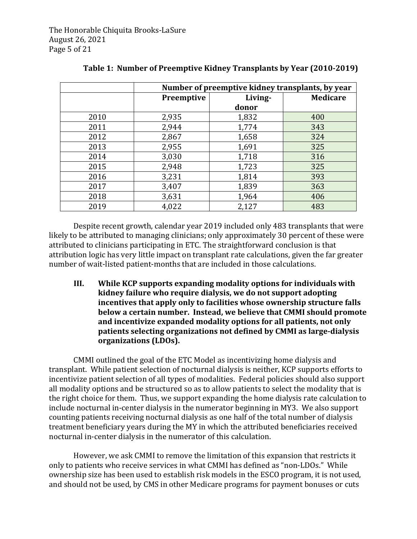|      | Number of preemptive kidney transplants, by year |         |     |  |
|------|--------------------------------------------------|---------|-----|--|
|      | <b>Preemptive</b>                                | Living- |     |  |
|      |                                                  | donor   |     |  |
| 2010 | 2,935                                            | 1,832   | 400 |  |
| 2011 | 2,944                                            | 1,774   | 343 |  |
| 2012 | 2,867                                            | 1,658   | 324 |  |
| 2013 | 2,955                                            | 1,691   | 325 |  |
| 2014 | 3,030                                            | 1,718   | 316 |  |
| 2015 | 2,948                                            | 1,723   | 325 |  |
| 2016 | 3,231                                            | 1,814   | 393 |  |
| 2017 | 3,407                                            | 1,839   | 363 |  |
| 2018 | 3,631                                            | 1,964   | 406 |  |
| 2019 | 4,022                                            | 2,127   | 483 |  |

| Table 1: Number of Preemptive Kidney Transplants by Year (2010-2019) |  |  |
|----------------------------------------------------------------------|--|--|
|                                                                      |  |  |

Despite recent growth, calendar year 2019 included only 483 transplants that were likely to be attributed to managing clinicians; only approximately 30 percent of these were attributed to clinicians participating in ETC. The straightforward conclusion is that attribution logic has very little impact on transplant rate calculations, given the far greater number of wait-listed patient-months that are included in those calculations.

**III.** While KCP supports expanding modality options for individuals with **kidney failure who require dialysis, we do not support adopting** incentives that apply only to facilities whose ownership structure falls **below a certain number. Instead, we believe that CMMI should promote** and incentivize expanded modality options for all patients, not only **patients selecting organizations not defined by CMMI as large-dialysis** organizations (LDOs).

CMMI outlined the goal of the ETC Model as incentivizing home dialysis and transplant. While patient selection of nocturnal dialysis is neither, KCP supports efforts to incentivize patient selection of all types of modalities. Federal policies should also support all modality options and be structured so as to allow patients to select the modality that is the right choice for them. Thus, we support expanding the home dialysis rate calculation to include nocturnal in-center dialysis in the numerator beginning in MY3. We also support counting patients receiving nocturnal dialysis as one half of the total number of dialysis treatment beneficiary years during the MY in which the attributed beneficiaries received nocturnal in-center dialysis in the numerator of this calculation.

However, we ask CMMI to remove the limitation of this expansion that restricts it only to patients who receive services in what CMMI has defined as "non-LDOs." While ownership size has been used to establish risk models in the ESCO program, it is not used, and should not be used, by CMS in other Medicare programs for payment bonuses or cuts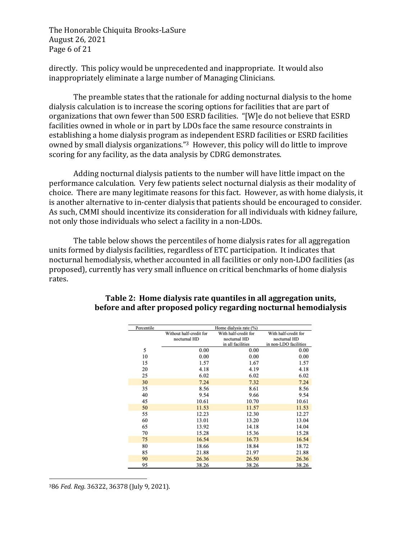The Honorable Chiquita Brooks-LaSure August 26, 2021 Page 6 of 21

directly. This policy would be unprecedented and inappropriate. It would also inappropriately eliminate a large number of Managing Clinicians.

The preamble states that the rationale for adding nocturnal dialysis to the home dialysis calculation is to increase the scoring options for facilities that are part of organizations that own fewer than 500 ESRD facilities. "[W]e do not believe that ESRD facilities owned in whole or in part by LDOs face the same resource constraints in establishing a home dialysis program as independent ESRD facilities or ESRD facilities owned by small dialysis organizations."<sup>3</sup> However, this policy will do little to improve scoring for any facility, as the data analysis by CDRG demonstrates.

Adding nocturnal dialysis patients to the number will have little impact on the performance calculation. Very few patients select nocturnal dialysis as their modality of choice. There are many legitimate reasons for this fact. However, as with home dialysis, it is another alternative to in-center dialysis that patients should be encouraged to consider. As such, CMMI should incentivize its consideration for all individuals with kidney failure, not only those individuals who select a facility in a non-LDOs.

The table below shows the percentiles of home dialysis rates for all aggregation units formed by dialysis facilities, regardless of ETC participation. It indicates that nocturnal hemodialysis, whether accounted in all facilities or only non-LDO facilities (as proposed), currently has very small influence on critical benchmarks of home dialysis rates. 

| Percentile |                         | Home dialysis rate (%) |                       |
|------------|-------------------------|------------------------|-----------------------|
|            | Without half-credit for | With half-credit for   | With half-credit for  |
|            | nocturnal HD            | nocturnal HD           | nocturnal HD          |
|            |                         | in all facilities      | in non-LDO facilities |
| 5          | 0.00                    | 0.00                   | 0.00                  |
| 10         | 0.00                    | 0.00                   | 0.00                  |
| 15         | 1.57                    | 1.67                   | 1.57                  |
| 20         | 4.18                    | 4.19                   | 4.18                  |
| 25         | 6.02                    | 6.02                   | 6.02                  |
| 30         | 7.24                    | 7.32                   | 7.24                  |
| 35         | 8.56                    | 8.61                   | 8.56                  |
| 40         | 9.54                    | 9.66                   | 9.54                  |
| 45         | 10.61                   | 10.70                  | 10.61                 |
| 50         | 11.53                   | 11.57                  | 11.53                 |
| 55         | 12.23                   | 12.30                  | 12.27                 |
| 60         | 13.01                   | 13.20                  | 13.04                 |
| 65         | 13.92                   | 14.18                  | 14.04                 |
| 70         | 15.28                   | 15.36                  | 15.28                 |
| 75         | 16.54                   | 16.73                  | 16.54                 |
| 80         | 18.66                   | 18.84                  | 18.72                 |
| 85         | 21.88                   | 21.97                  | 21.88                 |
| 90         | 26.36                   | 26.50                  | 26.36                 |
| 95         | 38.26                   | 38.26                  | 38.26                 |

# **Table 2: Home dialysis rate quantiles in all aggregation units, before and after proposed policy regarding nocturnal hemodialysis**

386 Fed. Reg. 36322, 36378 (July 9, 2021).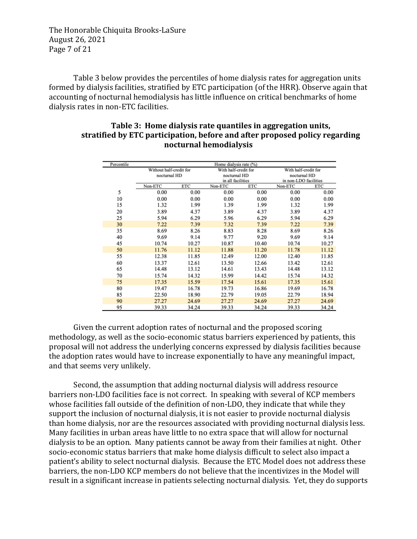The Honorable Chiquita Brooks-LaSure August 26, 2021 Page 7 of 21

Table 3 below provides the percentiles of home dialysis rates for aggregation units formed by dialysis facilities, stratified by ETC participation (of the HRR). Observe again that accounting of nocturnal hemodialysis has little influence on critical benchmarks of home dialysis rates in non-ETC facilities.

| Percentile |                         |       | Home dialysis rate (%) |       |                       |       |
|------------|-------------------------|-------|------------------------|-------|-----------------------|-------|
|            | Without half-credit for |       | With half-credit for   |       | With half-credit for  |       |
|            | nocturnal HD            |       | nocturnal HD           |       | nocturnal HD          |       |
|            |                         |       | in all facilities      |       | in non-LDO facilities |       |
|            | Non-ETC                 | ETC   | Non-ETC                | ETC   | Non-ETC               | ETC   |
| 5          | 0.00                    | 0.00  | 0.00                   | 0.00  | 0.00                  | 0.00  |
| 10         | 0.00                    | 0.00  | 0.00                   | 0.00  | 0.00                  | 0.00  |
| 15         | 1.32                    | 1.99  | 1.39                   | 1.99  | 1.32                  | 1.99  |
| 20         | 3.89                    | 4.37  | 3.89                   | 4.37  | 3.89                  | 4.37  |
| 25         | 5.94                    | 6.29  | 5.96                   | 6.29  | 5.94                  | 6.29  |
| 30         | 7.22                    | 7.39  | 7.32                   | 7.39  | 7.22                  | 7.39  |
| 35         | 8.69                    | 8.26  | 8.83                   | 8.28  | 8.69                  | 8.26  |
| 40         | 9.69                    | 9.14  | 9.77                   | 9.20  | 9.69                  | 9.14  |
| 45         | 10.74                   | 10.27 | 10.87                  | 10.40 | 10.74                 | 10.27 |
| 50         | 11.76                   | 11.12 | 11.88                  | 11.20 | 11.78                 | 11.12 |
| 55         | 12.38                   | 11.85 | 12.49                  | 12.00 | 12.40                 | 11.85 |
| 60         | 13.37                   | 12.61 | 13.50                  | 12.66 | 13.42                 | 12.61 |
| 65         | 14.48                   | 13.12 | 14.61                  | 13.43 | 14.48                 | 13.12 |
| 70         | 15.74                   | 14.32 | 15.99                  | 14.42 | 15.74                 | 14.32 |
| 75         | 17.35                   | 15.59 | 17.54                  | 15.61 | 17.35                 | 15.61 |
| 80         | 19.47                   | 16.78 | 19.73                  | 16.86 | 19.69                 | 16.78 |
| 85         | 22.50                   | 18.90 | 22.79                  | 19.05 | 22.79                 | 18.94 |
| 90         | 27.27                   | 24.69 | 27.27                  | 24.69 | 27.27                 | 24.69 |
| 95         | 39.33                   | 34.24 | 39.33                  | 34.24 | 39.33                 | 34.24 |

#### Table 3: Home dialysis rate quantiles in aggregation units, stratified by ETC participation, before and after proposed policy regarding **nocturnal hemodialysis**

Given the current adoption rates of nocturnal and the proposed scoring methodology, as well as the socio-economic status barriers experienced by patients, this proposal will not address the underlying concerns expressed by dialysis facilities because the adoption rates would have to increase exponentially to have any meaningful impact. and that seems very unlikely.

Second, the assumption that adding nocturnal dialysis will address resource barriers non-LDO facilities face is not correct. In speaking with several of KCP members whose facilities fall outside of the definition of non-LDO, they indicate that while they support the inclusion of nocturnal dialysis, it is not easier to provide nocturnal dialysis than home dialysis, nor are the resources associated with providing nocturnal dialysis less. Many facilities in urban areas have little to no extra space that will allow for nocturnal dialysis to be an option. Many patients cannot be away from their families at night. Other socio-economic status barriers that make home dialysis difficult to select also impact a patient's ability to select nocturnal dialysis. Because the ETC Model does not address these barriers, the non-LDO KCP members do not believe that the incentivizes in the Model will result in a significant increase in patients selecting nocturnal dialysis. Yet, they do supports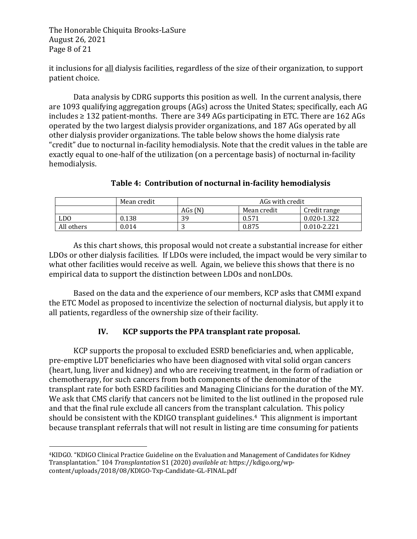The Honorable Chiquita Brooks-LaSure August 26, 2021 Page 8 of 21

it inclusions for all dialysis facilities, regardless of the size of their organization, to support patient choice.

Data analysis by CDRG supports this position as well. In the current analysis, there are 1093 qualifying aggregation groups (AGs) across the United States; specifically, each AG includes  $\geq$  132 patient-months. There are 349 AGs participating in ETC. There are 162 AGs operated by the two largest dialysis provider organizations, and 187 AGs operated by all other dialysis provider organizations. The table below shows the home dialysis rate "credit" due to nocturnal in-facility hemodialysis. Note that the credit values in the table are exactly equal to one-half of the utilization (on a percentage basis) of nocturnal in-facility hemodialysis.

|                 | Mean credit | AGs with credit |             |                 |
|-----------------|-------------|-----------------|-------------|-----------------|
|                 |             | AGs $(N)$       | Mean credit | Credit range    |
| LD <sub>0</sub> | 0.138       | 39              | 0.571       | 0.020-1.322     |
| All others      | 0.014       |                 | 0.875       | $0.010 - 2.221$ |

### Table 4: Contribution of nocturnal in-facility hemodialysis

As this chart shows, this proposal would not create a substantial increase for either LDOs or other dialysis facilities. If LDOs were included, the impact would be very similar to what other facilities would receive as well. Again, we believe this shows that there is no empirical data to support the distinction between LDOs and nonLDOs.

Based on the data and the experience of our members, KCP asks that CMMI expand the ETC Model as proposed to incentivize the selection of nocturnal dialysis, but apply it to all patients, regardless of the ownership size of their facility.

# **IV. KCP** supports the PPA transplant rate proposal.

KCP supports the proposal to excluded ESRD beneficiaries and, when applicable, pre-emptive LDT beneficiaries who have been diagnosed with vital solid organ cancers (heart, lung, liver and kidney) and who are receiving treatment, in the form of radiation or chemotherapy, for such cancers from both components of the denominator of the transplant rate for both ESRD facilities and Managing Clinicians for the duration of the MY. We ask that CMS clarify that cancers not be limited to the list outlined in the proposed rule and that the final rule exclude all cancers from the transplant calculation. This policy should be consistent with the KDIGO transplant guidelines.<sup>4</sup> This alignment is important because transplant referrals that will not result in listing are time consuming for patients

<sup>&</sup>lt;sup>4</sup>KIDGO. "KDIGO Clinical Practice Guideline on the Evaluation and Management of Candidates for Kidney Transplantation." 104 *Transplantation* S1 (2020) *available at:* https://kdigo.org/wpcontent/uploads/2018/08/KDIGO-Txp-Candidate-GL-FINAL.pdf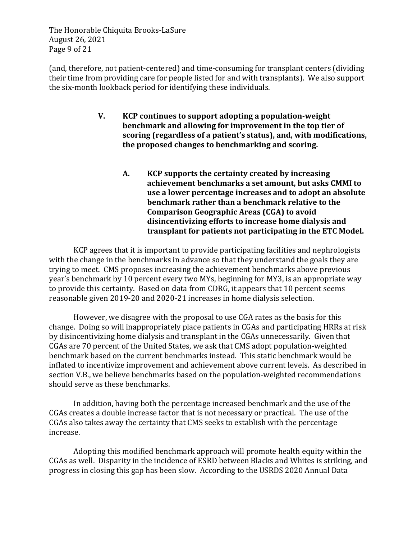The Honorable Chiquita Brooks-LaSure August 26, 2021 Page 9 of 21

(and, therefore, not patient-centered) and time-consuming for transplant centers (dividing their time from providing care for people listed for and with transplants). We also support the six-month lookback period for identifying these individuals.

- **V. KCP** continues to support adopting a population-weight benchmark and allowing for improvement in the top tier of scoring (regardless of a patient's status), and, with modifications, the proposed changes to benchmarking and scoring.
	- A. **KCP** supports the certainty created by increasing achievement benchmarks a set amount, but asks CMMI to use a lower percentage increases and to adopt an absolute **benchmark rather than a benchmark relative to the Comparison Geographic Areas (CGA) to avoid** disincentivizing efforts to increase home dialysis and transplant for patients not participating in the ETC Model.

KCP agrees that it is important to provide participating facilities and nephrologists with the change in the benchmarks in advance so that they understand the goals they are trying to meet. CMS proposes increasing the achievement benchmarks above previous year's benchmark by 10 percent every two MYs, beginning for MY3, is an appropriate way to provide this certainty. Based on data from CDRG, it appears that 10 percent seems reasonable given 2019-20 and 2020-21 increases in home dialysis selection.

However, we disagree with the proposal to use CGA rates as the basis for this change. Doing so will inappropriately place patients in CGAs and participating HRRs at risk by disincentivizing home dialysis and transplant in the CGAs unnecessarily. Given that CGAs are 70 percent of the United States, we ask that CMS adopt population-weighted benchmark based on the current benchmarks instead. This static benchmark would be inflated to incentivize improvement and achievement above current levels. As described in section V.B., we believe benchmarks based on the population-weighted recommendations should serve as these benchmarks.

In addition, having both the percentage increased benchmark and the use of the CGAs creates a double increase factor that is not necessary or practical. The use of the CGAs also takes away the certainty that CMS seeks to establish with the percentage increase. 

Adopting this modified benchmark approach will promote health equity within the CGAs as well. Disparity in the incidence of ESRD between Blacks and Whites is striking, and progress in closing this gap has been slow. According to the USRDS 2020 Annual Data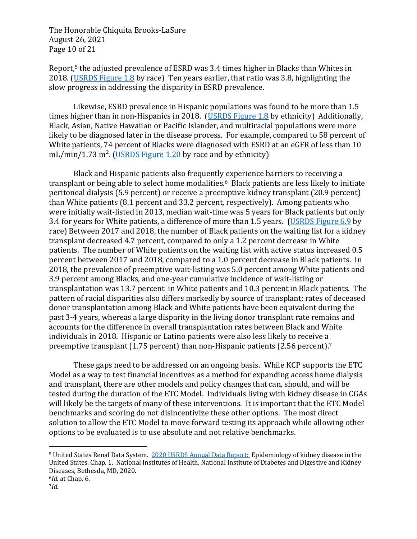The Honorable Chiquita Brooks-LaSure August 26, 2021 Page 10 of 21

Report,<sup>5</sup> the adjusted prevalence of ESRD was  $3.4$  times higher in Blacks than Whites in 2018. (USRDS Figure 1.8 by race) Ten years earlier, that ratio was 3.8, highlighting the slow progress in addressing the disparity in ESRD prevalence.

Likewise, ESRD prevalence in Hispanic populations was found to be more than 1.5 times higher than in non-Hispanics in 2018. (USRDS Figure 1.8 by ethnicity) Additionally, Black, Asian, Native Hawaiian or Pacific Islander, and multiracial populations were more likely to be diagnosed later in the disease process. For example, compared to 58 percent of White patients, 74 percent of Blacks were diagnosed with ESRD at an eGFR of less than 10 mL/min/1.73 m<sup>2</sup>. (USRDS Figure 1.20 by race and by ethnicity)

Black and Hispanic patients also frequently experience barriers to receiving a transplant or being able to select home modalities.<sup>6</sup> Black patients are less likely to initiate peritoneal dialysis (5.9 percent) or receive a preemptive kidney transplant (20.9 percent) than White patients  $(8.1$  percent and  $33.2$  percent, respectively). Among patients who were initially wait-listed in 2013, median wait-time was 5 years for Black patients but only 3.4 for years for White patients, a difference of more than 1.5 years. (USRDS Figure 6.9 by race) Between 2017 and 2018, the number of Black patients on the waiting list for a kidney transplant decreased 4.7 percent, compared to only a 1.2 percent decrease in White patients. The number of White patients on the waiting list with active status increased 0.5 percent between 2017 and 2018, compared to a 1.0 percent decrease in Black patients. In 2018, the prevalence of preemptive wait-listing was 5.0 percent among White patients and 3.9 percent among Blacks, and one-year cumulative incidence of wait-listing or transplantation was 13.7 percent in White patients and 10.3 percent in Black patients. The pattern of racial disparities also differs markedly by source of transplant; rates of deceased donor transplantation among Black and White patients have been equivalent during the past 3-4 years, whereas a large disparity in the living donor transplant rate remains and accounts for the difference in overall transplantation rates between Black and White individuals in 2018. Hispanic or Latino patients were also less likely to receive a preemptive transplant  $(1.75$  percent) than non-Hispanic patients  $(2.56$  percent).<sup>7</sup>

These gaps need to be addressed on an ongoing basis. While KCP supports the ETC Model as a way to test financial incentives as a method for expanding access home dialysis and transplant, there are other models and policy changes that can, should, and will be tested during the duration of the ETC Model. Individuals living with kidney disease in CGAs will likely be the targets of many of these interventions. It is important that the ETC Model benchmarks and scoring do not disincentivize these other options. The most direct solution to allow the ETC Model to move forward testing its approach while allowing other options to be evaluated is to use absolute and not relative benchmarks.

<sup>&</sup>lt;sup>5</sup> United States Renal Data System. 2020 USRDS Annual Data Report: Epidemiology of kidney disease in the United States. Chap. 1. National Institutes of Health, National Institute of Diabetes and Digestive and Kidney Diseases, Bethesda, MD, 2020. <sup>6</sup>*Id.* at Chap. 6. 

<sup>7</sup>*Id.*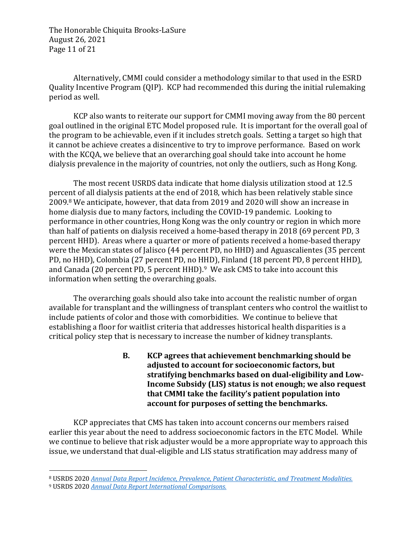The Honorable Chiquita Brooks-LaSure August 26, 2021 Page 11 of 21

Alternatively, CMMI could consider a methodology similar to that used in the ESRD Quality Incentive Program (QIP). KCP had recommended this during the initial rulemaking period as well.

KCP also wants to reiterate our support for CMMI moving away from the 80 percent goal outlined in the original ETC Model proposed rule. It is important for the overall goal of the program to be achievable, even if it includes stretch goals. Setting a target so high that it cannot be achieve creates a disincentive to try to improve performance. Based on work with the KCQA, we believe that an overarching goal should take into account he home dialysis prevalence in the majority of countries, not only the outliers, such as Hong Kong.

The most recent USRDS data indicate that home dialysis utilization stood at 12.5 percent of all dialysis patients at the end of 2018, which has been relatively stable since 2009.<sup>8</sup> We anticipate, however, that data from 2019 and 2020 will show an increase in home dialysis due to many factors, including the COVID-19 pandemic. Looking to performance in other countries, Hong Kong was the only country or region in which more than half of patients on dialysis received a home-based therapy in 2018 (69 percent PD, 3 percent HHD). Areas where a quarter or more of patients received a home-based therapy were the Mexican states of Jalisco (44 percent PD, no HHD) and Aguascalientes (35 percent PD, no HHD), Colombia (27 percent PD, no HHD), Finland (18 percent PD, 8 percent HHD), and Canada (20 percent PD, 5 percent HHD). $9 \,$  We ask CMS to take into account this information when setting the overarching goals.

The overarching goals should also take into account the realistic number of organ available for transplant and the willingness of transplant centers who control the waitlist to include patients of color and those with comorbidities. We continue to believe that establishing a floor for waitlist criteria that addresses historical health disparities is a critical policy step that is necessary to increase the number of kidney transplants.

> **B. KCP** agrees that achievement benchmarking should be adjusted to account for socioeconomic factors, but stratifying benchmarks based on dual-eligibility and Low-**Income Subsidy (LIS) status is not enough; we also request** that CMMI take the facility's patient population into account for purposes of setting the benchmarks.

KCP appreciates that CMS has taken into account concerns our members raised earlier this year about the need to address socioeconomic factors in the ETC Model. While we continue to believe that risk adjuster would be a more appropriate way to approach this issue, we understand that dual-eligible and LIS status stratification may address many of

<sup>8</sup> USRDS 2020 Annual Data Report Incidence, Prevalence, Patient Characteristic, and Treatment Modalities.

<sup>&</sup>lt;sup>9</sup> USRDS 2020 *Annual Data Report International Comparisons.*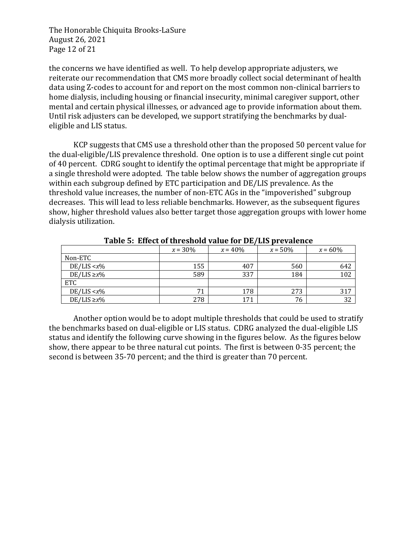The Honorable Chiquita Brooks-LaSure August 26, 2021 Page 12 of 21

the concerns we have identified as well. To help develop appropriate adjusters, we reiterate our recommendation that CMS more broadly collect social determinant of health data using Z-codes to account for and report on the most common non-clinical barriers to home dialysis, including housing or financial insecurity, minimal caregiver support, other mental and certain physical illnesses, or advanced age to provide information about them. Until risk adjusters can be developed, we support stratifying the benchmarks by dualeligible and LIS status.

KCP suggests that CMS use a threshold other than the proposed 50 percent value for the dual-eligible/LIS prevalence threshold. One option is to use a different single cut point of 40 percent. CDRG sought to identify the optimal percentage that might be appropriate if a single threshold were adopted. The table below shows the number of aggregation groups within each subgroup defined by ETC participation and DE/LIS prevalence. As the threshold value increases, the number of non-ETC AGs in the "impoverished" subgroup decreases. This will lead to less reliable benchmarks. However, as the subsequent figures show, higher threshold values also better target those aggregation groups with lower home dialysis utilization.

|                   | $x = 30\%$ | $x = 40\%$ | $x = 50\%$ | $x = 60\%$ |
|-------------------|------------|------------|------------|------------|
| Non-ETC           |            |            |            |            |
| $DE/LIS < x\%$    | 155        | 407        | 560        | 642        |
| $DE/LIS \geq x\%$ | 589        | 337        | 184        | 102        |
| ETC               |            |            |            |            |
| $DE/LIS < x\%$    | 71         | 178        | 273        | 317        |
| $DE/LIS \geq x\%$ | 278        | 171        | 76         | 32         |

**Table 5: Effect of threshold value for DE/LIS prevalence** 

Another option would be to adopt multiple thresholds that could be used to stratify the benchmarks based on dual-eligible or LIS status. CDRG analyzed the dual-eligible LIS status and identify the following curve showing in the figures below. As the figures below show, there appear to be three natural cut points. The first is between 0-35 percent; the second is between 35-70 percent; and the third is greater than 70 percent.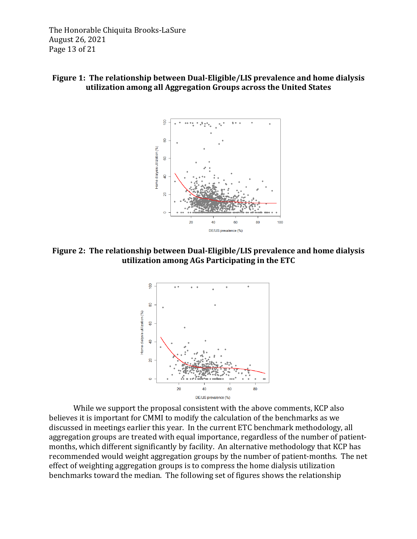The Honorable Chiquita Brooks-LaSure August 26, 2021 Page 13 of 21

#### **Figure 1: The relationship between Dual-Eligible/LIS prevalence and home dialysis utilization among all Aggregation Groups across the United States**



**Figure 2: The relationship between Dual-Eligible/LIS prevalence and home dialysis utilization among AGs Participating in the ETC** 



While we support the proposal consistent with the above comments, KCP also believes it is important for CMMI to modify the calculation of the benchmarks as we discussed in meetings earlier this year. In the current ETC benchmark methodology, all aggregation groups are treated with equal importance, regardless of the number of patientmonths, which different significantly by facility. An alternative methodology that KCP has recommended would weight aggregation groups by the number of patient-months. The net effect of weighting aggregation groups is to compress the home dialysis utilization benchmarks toward the median. The following set of figures shows the relationship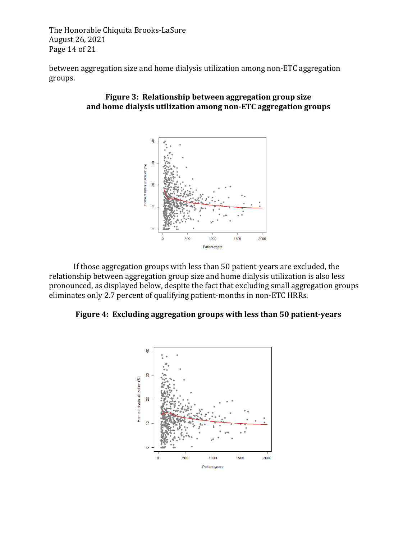The Honorable Chiquita Brooks-LaSure August 26, 2021 Page 14 of 21

between aggregation size and home dialysis utilization among non-ETC aggregation groups.

#### **Figure 3: Relationship between aggregation group size** and home dialysis utilization among non-ETC aggregation groups



If those aggregation groups with less than  $50$  patient-years are excluded, the relationship between aggregation group size and home dialysis utilization is also less pronounced, as displayed below, despite the fact that excluding small aggregation groups eliminates only 2.7 percent of qualifying patient-months in non-ETC HRRs.

### Figure 4: Excluding aggregation groups with less than 50 patient-years

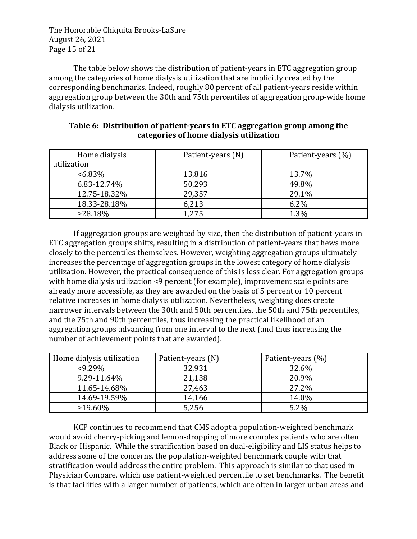The Honorable Chiquita Brooks-LaSure August 26, 2021 Page 15 of 21

The table below shows the distribution of patient-years in ETC aggregation group among the categories of home dialysis utilization that are implicitly created by the corresponding benchmarks. Indeed, roughly 80 percent of all patient-years reside within aggregation group between the 30th and 75th percentiles of aggregation group-wide home dialysis utilization.

| Home dialysis<br>utilization | Patient-years (N) | Patient-years (%) |
|------------------------------|-------------------|-------------------|
| $<6.83\%$                    | 13,816            | 13.7%             |
| 6.83-12.74%                  | 50,293            | 49.8%             |
| 12.75-18.32%                 | 29,357            | 29.1%             |
| 18.33-28.18%                 | 6,213             | 6.2%              |
| ≥28.18%                      | 1,275             | 1.3%              |

### **Table 6: Distribution of patient-years in ETC aggregation group among the categories of home dialysis utilization**

If aggregation groups are weighted by size, then the distribution of patient-years in ETC aggregation groups shifts, resulting in a distribution of patient-years that hews more closely to the percentiles themselves. However, weighting aggregation groups ultimately increases the percentage of aggregation groups in the lowest category of home dialysis utilization. However, the practical consequence of this is less clear. For aggregation groups with home dialysis utilization <9 percent (for example), improvement scale points are already more accessible, as they are awarded on the basis of 5 percent or 10 percent relative increases in home dialysis utilization. Nevertheless, weighting does create narrower intervals between the 30th and 50th percentiles, the 50th and 75th percentiles, and the 75th and 90th percentiles, thus increasing the practical likelihood of an aggregation groups advancing from one interval to the next (and thus increasing the number of achievement points that are awarded).

| Home dialysis utilization | Patient-years (N) | Patient-years (%) |
|---------------------------|-------------------|-------------------|
| $< 9.29\%$                | 32,931            | 32.6%             |
| 9.29-11.64%               | 21,138            | 20.9%             |
| 11.65-14.68%              | 27,463            | 27.2%             |
| 14.69-19.59%              | 14,166            | 14.0%             |
| $\geq$ 19.60%             | 5,256             | 5.2%              |

KCP continues to recommend that CMS adopt a population-weighted benchmark would avoid cherry-picking and lemon-dropping of more complex patients who are often Black or Hispanic. While the stratification based on dual-eligibility and LIS status helps to address some of the concerns, the population-weighted benchmark couple with that stratification would address the entire problem. This approach is similar to that used in Physician Compare, which use patient-weighted percentile to set benchmarks. The benefit is that facilities with a larger number of patients, which are often in larger urban areas and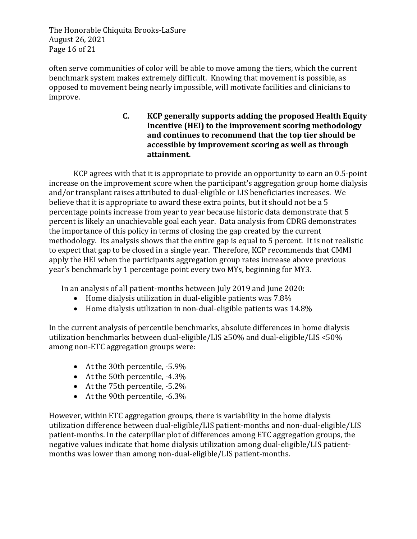The Honorable Chiquita Brooks-LaSure August 26, 2021 Page 16 of 21

often serve communities of color will be able to move among the tiers, which the current benchmark system makes extremely difficult. Knowing that movement is possible, as opposed to movement being nearly impossible, will motivate facilities and clinicians to improve. 

> **C. KCP** generally supports adding the proposed Health Equity **Incentive (HEI) to the improvement scoring methodology** and continues to recommend that the top tier should be accessible by improvement scoring as well as through **attainment.**

KCP agrees with that it is appropriate to provide an opportunity to earn an  $0.5$ -point increase on the improvement score when the participant's aggregation group home dialysis and/or transplant raises attributed to dual-eligible or LIS beneficiaries increases. We believe that it is appropriate to award these extra points, but it should not be a 5 percentage points increase from year to year because historic data demonstrate that 5 percent is likely an unachievable goal each year. Data analysis from CDRG demonstrates the importance of this policy in terms of closing the gap created by the current methodology. Its analysis shows that the entire gap is equal to 5 percent. It is not realistic to expect that gap to be closed in a single year. Therefore, KCP recommends that CMMI apply the HEI when the participants aggregation group rates increase above previous year's benchmark by 1 percentage point every two MYs, beginning for MY3.

In an analysis of all patient-months between July 2019 and June 2020:

- Home dialysis utilization in dual-eligible patients was  $7.8\%$
- Home dialysis utilization in non-dual-eligible patients was  $14.8\%$

In the current analysis of percentile benchmarks, absolute differences in home dialysis utilization benchmarks between dual-eligible/LIS  $\geq$ 50% and dual-eligible/LIS <50% among non-ETC aggregation groups were:

- At the 30th percentile,  $-5.9\%$
- At the 50th percentile,  $-4.3\%$
- At the  $75$ th percentile,  $-5.2\%$
- At the 90th percentile,  $-6.3\%$

However, within ETC aggregation groups, there is variability in the home dialysis utilization difference between dual-eligible/LIS patient-months and non-dual-eligible/LIS patient-months. In the caterpillar plot of differences among ETC aggregation groups, the negative values indicate that home dialysis utilization among dual-eligible/LIS patientmonths was lower than among non-dual-eligible/LIS patient-months.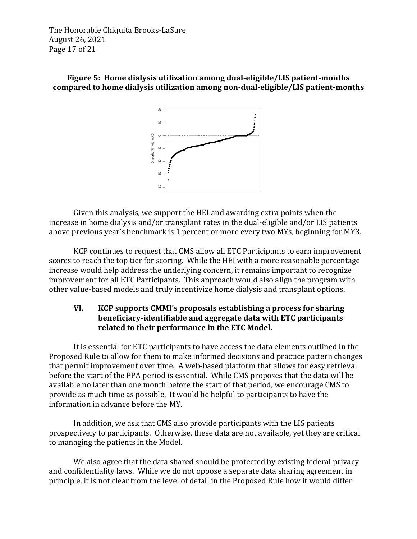The Honorable Chiquita Brooks-LaSure August 26, 2021 Page 17 of 21

### **Figure 5: Home dialysis utilization among dual-eligible/LIS patient-months compared to home dialysis utilization among non-dual-eligible/LIS patient-months**



Given this analysis, we support the HEI and awarding extra points when the increase in home dialysis and/or transplant rates in the dual-eligible and/or LIS patients above previous year's benchmark is 1 percent or more every two MYs, beginning for MY3.

KCP continues to request that CMS allow all ETC Participants to earn improvement scores to reach the top tier for scoring. While the HEI with a more reasonable percentage increase would help address the underlying concern, it remains important to recognize improvement for all ETC Participants. This approach would also align the program with other value-based models and truly incentivize home dialysis and transplant options.

# **VI. KCP** supports CMMI's proposals establishing a process for sharing **beneficiary-identifiable and aggregate data with ETC participants** related to their performance in the ETC Model.

It is essential for ETC participants to have access the data elements outlined in the Proposed Rule to allow for them to make informed decisions and practice pattern changes that permit improvement over time. A web-based platform that allows for easy retrieval before the start of the PPA period is essential. While CMS proposes that the data will be available no later than one month before the start of that period, we encourage CMS to provide as much time as possible. It would be helpful to participants to have the information in advance before the MY.

In addition, we ask that CMS also provide participants with the LIS patients prospectively to participants. Otherwise, these data are not available, yet they are critical to managing the patients in the Model.

We also agree that the data shared should be protected by existing federal privacy and confidentiality laws. While we do not oppose a separate data sharing agreement in principle, it is not clear from the level of detail in the Proposed Rule how it would differ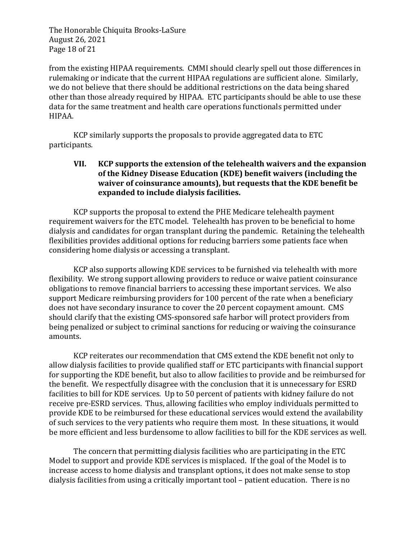The Honorable Chiquita Brooks-LaSure August 26, 2021 Page 18 of 21

from the existing HIPAA requirements. CMMI should clearly spell out those differences in rulemaking or indicate that the current HIPAA regulations are sufficient alone. Similarly, we do not believe that there should be additional restrictions on the data being shared other than those already required by HIPAA. ETC participants should be able to use these data for the same treatment and health care operations functionals permitted under HIPAA.

KCP similarly supports the proposals to provide aggregated data to ETC participants.

### **VII.** KCP supports the extension of the telehealth waivers and the expansion of the Kidney Disease Education (KDE) benefit waivers (including the **waiver of coinsurance amounts), but requests that the KDE benefit be expanded to include dialysis facilities.**

KCP supports the proposal to extend the PHE Medicare telehealth payment requirement waivers for the ETC model. Telehealth has proven to be beneficial to home dialysis and candidates for organ transplant during the pandemic. Retaining the telehealth flexibilities provides additional options for reducing barriers some patients face when considering home dialysis or accessing a transplant.

KCP also supports allowing KDE services to be furnished via telehealth with more flexibility. We strong support allowing providers to reduce or waive patient coinsurance obligations to remove financial barriers to accessing these important services. We also support Medicare reimbursing providers for 100 percent of the rate when a beneficiary does not have secondary insurance to cover the 20 percent copayment amount. CMS should clarify that the existing CMS-sponsored safe harbor will protect providers from being penalized or subject to criminal sanctions for reducing or waiving the coinsurance amounts. 

KCP reiterates our recommendation that CMS extend the KDE benefit not only to allow dialysis facilities to provide qualified staff or ETC participants with financial support for supporting the KDE benefit, but also to allow facilities to provide and be reimbursed for the benefit. We respectfully disagree with the conclusion that it is unnecessary for ESRD facilities to bill for KDE services. Up to 50 percent of patients with kidney failure do not receive pre-ESRD services. Thus, allowing facilities who employ individuals permitted to provide KDE to be reimbursed for these educational services would extend the availability of such services to the very patients who require them most. In these situations, it would be more efficient and less burdensome to allow facilities to bill for the KDE services as well.

The concern that permitting dialysis facilities who are participating in the ETC Model to support and provide KDE services is misplaced. If the goal of the Model is to increase access to home dialysis and transplant options, it does not make sense to stop dialysis facilities from using a critically important tool – patient education. There is no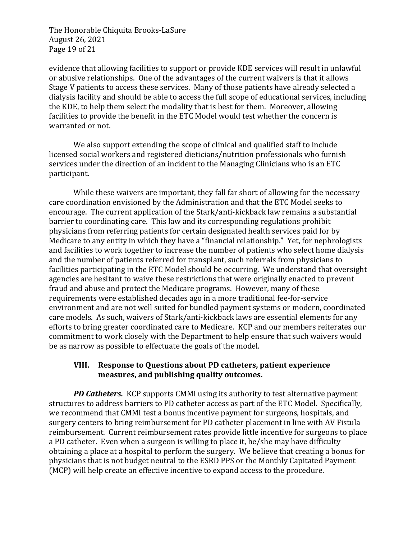The Honorable Chiquita Brooks-LaSure August 26, 2021 Page 19 of 21

evidence that allowing facilities to support or provide KDE services will result in unlawful or abusive relationships. One of the advantages of the current waivers is that it allows Stage V patients to access these services. Many of those patients have already selected a dialysis facility and should be able to access the full scope of educational services, including the KDE, to help them select the modality that is best for them. Moreover, allowing facilities to provide the benefit in the ETC Model would test whether the concern is warranted or not.

We also support extending the scope of clinical and qualified staff to include licensed social workers and registered dieticians/nutrition professionals who furnish services under the direction of an incident to the Managing Clinicians who is an ETC participant. 

While these waivers are important, they fall far short of allowing for the necessary care coordination envisioned by the Administration and that the ETC Model seeks to encourage. The current application of the Stark/anti-kickback law remains a substantial barrier to coordinating care. This law and its corresponding regulations prohibit physicians from referring patients for certain designated health services paid for by Medicare to any entity in which they have a "financial relationship." Yet, for nephrologists and facilities to work together to increase the number of patients who select home dialysis and the number of patients referred for transplant, such referrals from physicians to facilities participating in the ETC Model should be occurring. We understand that oversight agencies are hesitant to waive these restrictions that were originally enacted to prevent fraud and abuse and protect the Medicare programs. However, many of these requirements were established decades ago in a more traditional fee-for-service environment and are not well suited for bundled payment systems or modern, coordinated care models. As such, waivers of Stark/anti-kickback laws are essential elements for any efforts to bring greater coordinated care to Medicare. KCP and our members reiterates our commitment to work closely with the Department to help ensure that such waivers would be as narrow as possible to effectuate the goals of the model.

#### **VIII.** Response to Questions about PD catheters, patient experience measures, and publishing quality outcomes.

**PD Catheters.** KCP supports CMMI using its authority to test alternative payment structures to address barriers to PD catheter access as part of the ETC Model. Specifically, we recommend that CMMI test a bonus incentive payment for surgeons, hospitals, and surgery centers to bring reimbursement for PD catheter placement in line with AV Fistula reimbursement. Current reimbursement rates provide little incentive for surgeons to place a PD catheter. Even when a surgeon is willing to place it, he/she may have difficulty obtaining a place at a hospital to perform the surgery. We believe that creating a bonus for physicians that is not budget neutral to the ESRD PPS or the Monthly Capitated Payment (MCP) will help create an effective incentive to expand access to the procedure.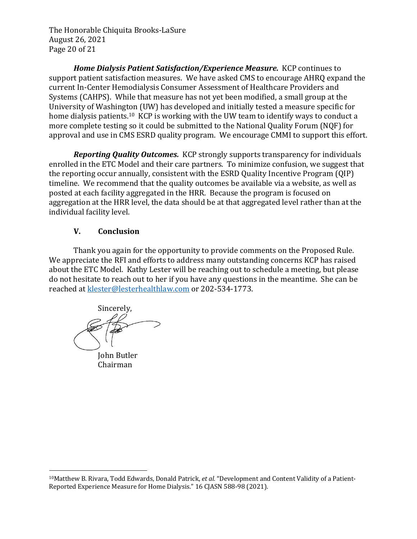The Honorable Chiquita Brooks-LaSure August 26, 2021 Page 20 of 21

**Home Dialysis Patient Satisfaction/Experience Measure.** KCP continues to support patient satisfaction measures. We have asked CMS to encourage AHRQ expand the current In-Center Hemodialysis Consumer Assessment of Healthcare Providers and Systems (CAHPS). While that measure has not yet been modified, a small group at the University of Washington (UW) has developed and initially tested a measure specific for home dialysis patients.<sup>10</sup> KCP is working with the UW team to identify ways to conduct a more complete testing so it could be submitted to the National Quality Forum (NQF) for approval and use in CMS ESRD quality program. We encourage CMMI to support this effort.

**Reporting Quality Outcomes.** KCP strongly supports transparency for individuals enrolled in the ETC Model and their care partners. To minimize confusion, we suggest that the reporting occur annually, consistent with the ESRD Quality Incentive Program (QIP) timeline. We recommend that the quality outcomes be available via a website, as well as posted at each facility aggregated in the HRR. Because the program is focused on aggregation at the HRR level, the data should be at that aggregated level rather than at the individual facility level.

# **V. Conclusion**

Thank you again for the opportunity to provide comments on the Proposed Rule. We appreciate the RFI and efforts to address many outstanding concerns KCP has raised about the ETC Model. Kathy Lester will be reaching out to schedule a meeting, but please do not hesitate to reach out to her if you have any questions in the meantime. She can be reached at klester@lesterhealthlaw.com or 202-534-1773.

Sincerely, **John Butler** 

Chairman

<sup>&</sup>lt;sup>10</sup>Matthew B. Rivara, Todd Edwards, Donald Patrick, et al. "Development and Content Validity of a Patient-Reported Experience Measure for Home Dialysis." 16 CJASN 588-98 (2021).